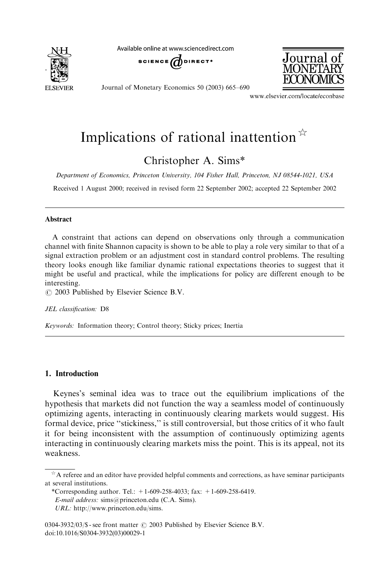

Available online at www.sciencedirect.com





Journal of Monetary Economics 50 (2003) 665–690

www.elsevier.com/locate/econbase

# Implications of rational inattention  $\mathbb{R}$

Christopher A. Sims\*

Department of Economics, Princeton University, 104 Fisher Hall, Princeton, NJ 08544-1021, USA

Received 1 August 2000; received in revised form 22 September 2002; accepted 22 September 2002

## Abstract

Aconstraint that actions can depend on observations only through a communication channel with finite Shannon capacity is shown to be able to play a role very similar to that of a signal extraction problem or an adjustment cost in standard control problems. The resulting theory looks enough like familiar dynamic rational expectations theories to suggest that it might be useful and practical, while the implications for policy are different enough to be interesting.

 $O$  2003 Published by Elsevier Science B.V.

JEL classification: D8

Keywords: Information theory; Control theory; Sticky prices; Inertia

# 1. Introduction

Keynes's seminal idea was to trace out the equilibrium implications of the hypothesis that markets did not function the way a seamless model of continuously optimizing agents, interacting in continuously clearing markets would suggest. His formal device, price ''stickiness,'' is still controversial, but those critics of it who fault it for being inconsistent with the assumption of continuously optimizing agents interacting in continuously clearing markets miss the point. This is its appeal, not its weakness.

 $*$  A referee and an editor have provided helpful comments and corrections, as have seminar participants at several institutions.

<sup>\*</sup>Corresponding author. Tel.:  $+1-609-258-4033$ ; fax:  $+1-609-258-6419$ .

E-mail address: sims@princeton.edu (C.A. Sims).

URL: http://www.princeton.edu/sims.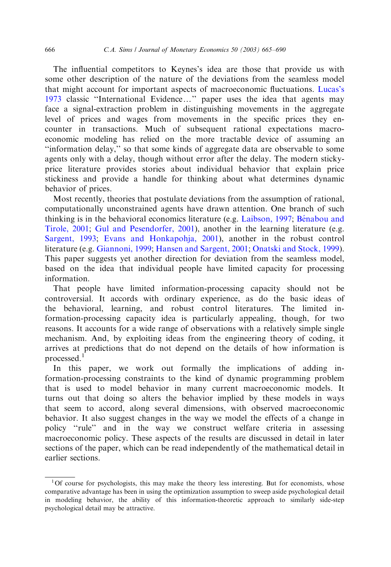The influential competitors to Keynes's idea are those that provide us with some other description of the nature of the deviations from the seamless model that might account for important aspects of macroeconomic fluctuations. [Lucas's](#page-25-0) [1973](#page-25-0) classic "International Evidence..." paper uses the idea that agents may face a signal-extraction problem in distinguishing movements in the aggregate level of prices and wages from movements in the specific prices they encounter in transactions. Much of subsequent rational expectations macroeconomic modeling has relied on the more tractable device of assuming an ''information delay,'' so that some kinds of aggregate data are observable to some agents only with a delay, though without error after the delay. The modern stickyprice literature provides stories about individual behavior that explain price stickiness and provide a handle for thinking about what determines dynamic behavior of prices.

Most recently, theories that postulate deviations from the assumption of rational, computationally unconstrained agents have drawn attention. One branch of such thinking is in the behavioral economics literature (e.g. [Laibson, 1997](#page-25-0); Bénabou and [Tirole, 2001;](#page-24-0) [Gul and Pesendorfer, 2001](#page-24-0)), another in the learning literature (e.g. [Sargent, 1993](#page-25-0); [Evans and Honkapohja, 2001\)](#page-24-0), another in the robust control literature (e.g. [Giannoni, 1999](#page-24-0); [Hansen and Sargent, 2001;](#page-24-0) [Onatski and Stock, 1999](#page-25-0)). This paper suggests yet another direction for deviation from the seamless model, based on the idea that individual people have limited capacity for processing information.

That people have limited information-processing capacity should not be controversial. It accords with ordinary experience, as do the basic ideas of the behavioral, learning, and robust control literatures. The limited information-processing capacity idea is particularly appealing, though, for two reasons. It accounts for a wide range of observations with a relatively simple single mechanism. And, by exploiting ideas from the engineering theory of coding, it arrives at predictions that do not depend on the details of how information is processed.<sup>1</sup>

In this paper, we work out formally the implications of adding information-processing constraints to the kind of dynamic programming problem that is used to model behavior in many current macroeconomic models. It turns out that doing so alters the behavior implied by these models in ways that seem to accord, along several dimensions, with observed macroeconomic behavior. It also suggest changes in the way we model the effects of a change in policy ''rule'' and in the way we construct welfare criteria in assessing macroeconomic policy. These aspects of the results are discussed in detail in later sections of the paper, which can be read independently of the mathematical detail in earlier sections.

<sup>&</sup>lt;sup>1</sup>Of course for psychologists, this may make the theory less interesting. But for economists, whose comparative advantage has been in using the optimization assumption to sweep aside psychological detail in modeling behavior, the ability of this information-theoretic approach to similarly side-step psychological detail may be attractive.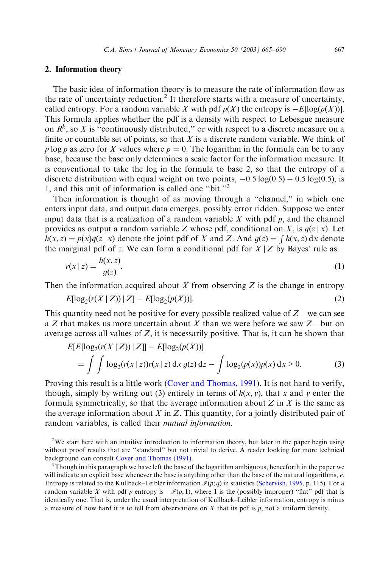# 2. Information theory

The basic idea of information theory is to measure the rate of information flow as the rate of uncertainty reduction.<sup>2</sup> It therefore starts with a measure of uncertainty, called entropy. For a random variable X with pdf  $p(X)$  the entropy is  $-E[\log(p(X))]$ . This formula applies whether the pdf is a density with respect to Lebesgue measure on  $R^k$ , so X is "continuously distributed," or with respect to a discrete measure on a finite or countable set of points, so that  $X$  is a discrete random variable. We think of p log p as zero for X values where  $p = 0$ . The logarithm in the formula can be to any base, because the base only determines a scale factor for the information measure. It is conventional to take the log in the formula to base 2, so that the entropy of a discrete distribution with equal weight on two points,  $-0.5 \log(0.5) - 0.5 \log(0.5)$ , is 1, and this unit of information is called one ''bit.''<sup>3</sup>

Then information is thought of as moving through a ''channel,'' in which one enters input data, and output data emerges, possibly error ridden. Suppose we enter input data that is a realization of a random variable X with pdf  $p$ , and the channel provides as output a random variable Z whose pdf, conditional on X, is  $q(z|x)$ . Let h(x, z) =  $p(x)q(z|x)$  denote the joint pdf of X and Z. And  $q(z) = \int h(x, z) dx$  denote the marginal pdf of z. We can form a conditional pdf for  $X/Z$  by Bayes' rule as

$$
r(x \mid z) = \frac{h(x, z)}{g(z)}.\tag{1}
$$

Then the information acquired about X from observing Z is the change in entropy

$$
E[\log_2(r(X|Z))|Z] - E[\log_2(p(X))].
$$
\n(2)

This quantity need not be positive for every possible realized value of Z—we can see a Z that makes us more uncertain about X than we were before we saw  $Z$ —but on average across all values of  $Z$ , it is necessarily positive. That is, it can be shown that

$$
E[E[\log_2(r(X \mid Z)) \mid Z]] - E[\log_2(p(X))]
$$
  
=  $\int \int \log_2(r(x \mid z)) r(x \mid z) dx g(z) dz - \int \log_2(p(x)) p(x) dx > 0.$  (3)

Proving this result is a little work [\(Cover and Thomas, 1991](#page-24-0)). It is not hard to verify, though, simply by writing out (3) entirely in terms of  $h(x, y)$ , that x and y enter the formula symmetrically, so that the average information about  $Z$  in  $X$  is the same as the average information about X in Z. This quantity, for a jointly distributed pair of random variables, is called their mutual information.

 $2$ We start here with an intuitive introduction to information theory, but later in the paper begin using without proof results that are "standard" but not trivial to derive. A reader looking for more technical background can consult [Cover and Thomas \(1991\)](#page-24-0).

 $3$ Though in this paragraph we have left the base of the logarithm ambiguous, henceforth in the paper we will indicate an explicit base whenever the base is anything other than the base of the natural logarithms, e. Entropy is related to the Kullback–Leibler information  $\mathcal{I}(p; q)$  in statistics ([Schervish, 1995](#page-25-0), p. 115). For a random variable X with pdf p entropy is  $-\mathcal{I}(p; 1)$ , where 1 is the (possibly improper) "flat" pdf that is identically one. That is, under the usual interpretation of Kullback–Leibler information, entropy is minus a measure of how hard it is to tell from observations on  $X$  that its pdf is  $p$ , not a uniform density.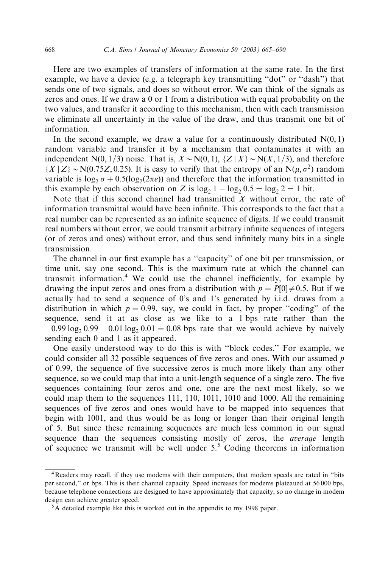Here are two examples of transfers of information at the same rate. In the first example, we have a device (e.g. a telegraph key transmitting "dot" or "dash") that sends one of two signals, and does so without error. We can think of the signals as zeros and ones. If we draw a 0 or 1 from a distribution with equal probability on the two values, and transfer it according to this mechanism, then with each transmission we eliminate all uncertainty in the value of the draw, and thus transmit one bit of information.

In the second example, we draw a value for a continuously distributed  $N(0, 1)$ random variable and transfer it by a mechanism that contaminates it with an independent N $(0, 1/3)$  noise. That is,  $X \sim N(0, 1)$ ,  $\{Z | X\} \sim N(X, 1/3)$ , and therefore  $\{X \mid Z\} \sim N(0.75Z, 0.25)$ . It is easy to verify that the entropy of an  $N(\mu, \sigma^2)$  random variable is  $\log_2 \sigma + 0.5(\log_2(2\pi e))$  and therefore that the information transmitted in this example by each observation on Z is  $log_2 1 - log_2 0.5 = log_2 2 = 1$  bit.

Note that if this second channel had transmitted  $X$  without error, the rate of information transmittal would have been infinite. This corresponds to the fact that a real number can be represented as an infinite sequence of digits. If we could transmit real numbers without error, we could transmit arbitrary infinite sequences of integers (or of zeros and ones) without error, and thus send infinitely many bits in a single transmission.

The channel in our first example has a ''capacity'' of one bit per transmission, or time unit, say one second. This is the maximum rate at which the channel can transmit information.<sup>4</sup> We could use the channel inefficiently, for example by drawing the input zeros and ones from a distribution with  $p = P[0] \neq 0.5$ . But if we actually had to send a sequence of 0's and 1's generated by i.i.d. draws from a distribution in which  $p = 0.99$ , say, we could in fact, by proper "coding" of the sequence, send it at as close as we like to a 1 bps rate rather than the  $-0.99 \log_2 0.99 - 0.01 \log_2 0.01 = 0.08$  bps rate that we would achieve by naively sending each 0 and 1 as it appeared.

One easily understood way to do this is with ''block codes.'' For example, we could consider all 32 possible sequences of five zeros and ones. With our assumed p of 0.99, the sequence of five successive zeros is much more likely than any other sequence, so we could map that into a unit-length sequence of a single zero. The five sequences containing four zeros and one, one are the next most likely, so we could map them to the sequences 111, 110, 1011, 1010 and 1000. All the remaining sequences of five zeros and ones would have to be mapped into sequences that begin with 1001, and thus would be as long or longer than their original length of 5. But since these remaining sequences are much less common in our signal sequence than the sequences consisting mostly of zeros, the *average* length of sequence we transmit will be well under  $5<sup>5</sup>$  Coding theorems in information

<sup>&</sup>lt;sup>4</sup> Readers may recall, if they use modems with their computers, that modem speeds are rated in "bits" per second,'' or bps. This is their channel capacity. Speed increases for modems plateaued at 56 000 bps; because telephone connections are designed to have approximately that capacity, so no change in modem design can achieve greater speed.<br><sup>5</sup>A detailed example like this is worked out in the appendix to my 1998 paper.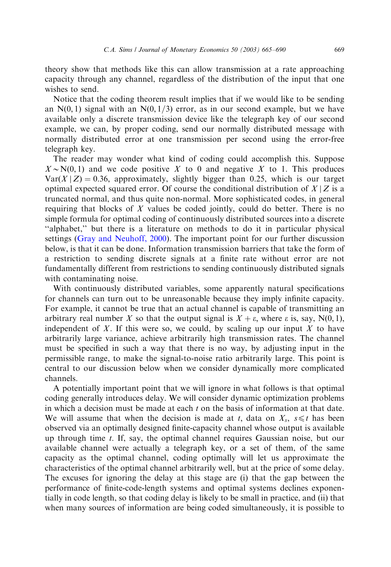theory show that methods like this can allow transmission at a rate approaching capacity through any channel, regardless of the distribution of the input that one wishes to send.

Notice that the coding theorem result implies that if we would like to be sending an  $N(0, 1)$  signal with an  $N(0, 1/3)$  error, as in our second example, but we have available only a discrete transmission device like the telegraph key of our second example, we can, by proper coding, send our normally distributed message with normally distributed error at one transmission per second using the error-free telegraph key.

The reader may wonder what kind of coding could accomplish this. Suppose  $X \sim N(0, 1)$  and we code positive X to 0 and negative X to 1. This produces  $Var(X|Z) = 0.36$ , approximately, slightly bigger than 0.25, which is our target optimal expected squared error. Of course the conditional distribution of  $X | Z$  is a truncated normal, and thus quite non-normal. More sophisticated codes, in general requiring that blocks of X values be coded jointly, could do better. There is no simple formula for optimal coding of continuously distributed sources into a discrete ''alphabet,'' but there is a literature on methods to do it in particular physical settings ([Gray and Neuhoff, 2000](#page-24-0)). The important point for our further discussion below, is that it can be done. Information transmission barriers that take the form of a restriction to sending discrete signals at a finite rate without error are not fundamentally different from restrictions to sending continuously distributed signals with contaminating noise.

With continuously distributed variables, some apparently natural specifications for channels can turn out to be unreasonable because they imply infinite capacity. For example, it cannot be true that an actual channel is capable of transmitting an arbitrary real number X so that the output signal is  $X + \varepsilon$ , where  $\varepsilon$  is, say, N(0, 1), independent of  $X$ . If this were so, we could, by scaling up our input  $X$  to have arbitrarily large variance, achieve arbitrarily high transmission rates. The channel must be specified in such a way that there is no way, by adjusting input in the permissible range, to make the signal-to-noise ratio arbitrarily large. This point is central to our discussion below when we consider dynamically more complicated channels.

Apotentially important point that we will ignore in what follows is that optimal coding generally introduces delay. We will consider dynamic optimization problems in which a decision must be made at each  $t$  on the basis of information at that date. We will assume that when the decision is made at t, data on  $X_s$ ,  $s \le t$  has been observed via an optimally designed finite-capacity channel whose output is available up through time t: If, say, the optimal channel requires Gaussian noise, but our available channel were actually a telegraph key, or a set of them, of the same capacity as the optimal channel, coding optimally will let us approximate the characteristics of the optimal channel arbitrarily well, but at the price of some delay. The excuses for ignoring the delay at this stage are (i) that the gap between the performance of finite-code-length systems and optimal systems declines exponentially in code length, so that coding delay is likely to be small in practice, and (ii) that when many sources of information are being coded simultaneously, it is possible to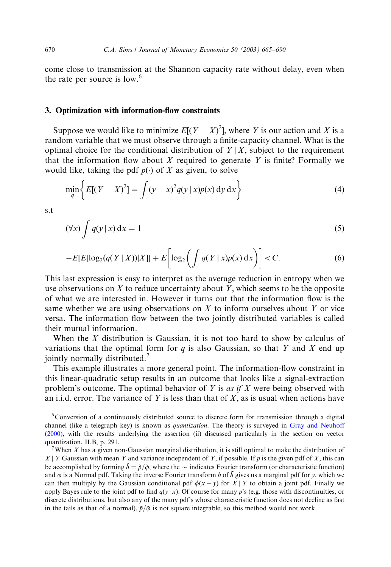come close to transmission at the Shannon capacity rate without delay, even when the rate per source is low.<sup>6</sup>

# 3. Optimization with information-flow constraints

Suppose we would like to minimize  $E[(Y - X)^2]$ , where Y is our action and X is a random variable that we must observe through a finite-capacity channel. What is the optimal choice for the conditional distribution of  $Y | X$ , subject to the requirement that the information flow about  $X$  required to generate  $Y$  is finite? Formally we would like, taking the pdf  $p(\cdot)$  of X as given, to solve

$$
\min_{q} \left\{ E[(Y - X)^{2}] = \int (y - x)^{2} q(y | x) p(x) \, dy \, dx \right\}
$$
 (4)

s.t

$$
(\forall x) \int q(y \mid x) dx = 1 \tag{5}
$$

$$
-E[E[\log_2(q(Y|X))|X]] + E\left[\log_2\left(\int q(Y|x)p(x)\,\mathrm{d}x\right)\right] < C.\tag{6}
$$

This last expression is easy to interpret as the average reduction in entropy when we use observations on  $X$  to reduce uncertainty about  $Y$ , which seems to be the opposite of what we are interested in. However it turns out that the information flow is the same whether we are using observations on  $X$  to inform ourselves about  $Y$  or vice versa. The information flow between the two jointly distributed variables is called their mutual information.

When the  $X$  distribution is Gaussian, it is not too hard to show by calculus of variations that the optimal form for q is also Gaussian, so that Y and X end up jointly normally distributed.<sup>7</sup>

This example illustrates a more general point. The information-flow constraint in this linear-quadratic setup results in an outcome that looks like a signal-extraction problem's outcome. The optimal behavior of Y is as if X were being observed with an i.i.d. error. The variance of Y is less than that of X, as is usual when actions have

<sup>6</sup>Conversion of a continuously distributed source to discrete form for transmission through a digital channel (like a telegraph key) is known as *quantization*. The theory is surveyed in [Gray and Neuhoff](#page-24-0) [\(2000\)](#page-24-0), with the results underlying the assertion (ii) discussed particularly in the section on vector quantization, II.B, p. 291.<br><sup>7</sup>When X has a given non-Gaussian marginal distribution, it is still optimal to make the distribution of

 $X \mid Y$  Gaussian with mean Y and variance independent of Y, if possible. If p is the given pdf of X, this can be accomplished by forming  $\tilde{h} = \tilde{p}/\tilde{\varphi}$ , where the  $\sim$  indicates Fourier transform (or characteristic function) and  $\varphi$  is a Normal pdf. Taking the inverse Fourier transform h of  $\tilde{h}$  gives us a marginal pdf for y, which we can then multiply by the Gaussian conditional pdf  $\phi(x - y)$  for X | Y to obtain a joint pdf. Finally we apply Bayes rule to the joint pdf to find  $q(y|x)$ . Of course for many p's (e.g. those with discontinuities, or discrete distributions, but also any of the many pdf's whose characteristic function does not decline as fast in the tails as that of a normal),  $\tilde{p}/\tilde{\varphi}$  is not square integrable, so this method would not work.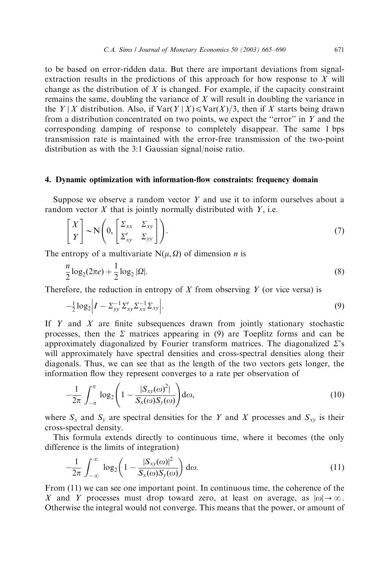to be based on error-ridden data. But there are important deviations from signalextraction results in the predictions of this approach for how response to  $X$  will change as the distribution of  $X$  is changed. For example, if the capacity constraint remains the same, doubling the variance of X will result in doubling the variance in the Y | X distribution. Also, if  $Var(Y|X) \leq Var(X)/3$ , then if X starts being drawn from a distribution concentrated on two points, we expect the ''error'' in Y and the corresponding damping of response to completely disappear. The same 1 bps transmission rate is maintained with the error-free transmission of the two-point distribution as with the 3:1 Gaussian signal/noise ratio.

## 4. Dynamic optimization with information-flow constraints: frequency domain

Suppose we observe a random vector  $Y$  and use it to inform ourselves about a random vector  $X$  that is jointly normally distributed with  $Y$ , i.e.

$$
\begin{bmatrix} X \\ Y \end{bmatrix} \sim N \left( 0, \begin{bmatrix} \Sigma_{xx} & \Sigma_{xy} \\ \Sigma_{xy}' & \Sigma_{yy} \end{bmatrix} \right). \tag{7}
$$

The entropy of a multivariate  $N(\mu, \Omega)$  of dimension *n* is

$$
\frac{n}{2}\log_2(2\pi e) + \frac{1}{2}\log_2|\Omega|.\tag{8}
$$

Therefore, the reduction in entropy of  $X$  from observing  $Y$  (or vice versa) is

$$
-\frac{1}{2}\log_2\Big|I-\Sigma_{yy}^{-1}\Sigma_{xy}'\Sigma_{xx}^{-1}\Sigma_{xy}\Big|.\tag{9}
$$

If  $Y$  and  $X$  are finite subsequences drawn from jointly stationary stochastic processes, then the  $\Sigma$  matrices appearing in (9) are Toeplitz forms and can be approximately diagonalized by Fourier transform matrices. The diagonalized  $\Sigma$ 's will approximately have spectral densities and cross-spectral densities along their diagonals. Thus, we can see that as the length of the two vectors gets longer, the information flow they represent converges to a rate per observation of

$$
-\frac{1}{2\pi}\int_{-\pi}^{\pi}\log_2\left(1-\frac{|S_{xy}(\omega)|^2|}{S_x(\omega)S_y(\omega)}\right)d\omega,
$$
\n(10)

where  $S_x$  and  $S_y$  are spectral densities for the Y and X processes and  $S_{xy}$  is their cross-spectral density.

This formula extends directly to continuous time, where it becomes (the only difference is the limits of integration)

$$
-\frac{1}{2\pi} \int_{-\infty}^{\infty} \log_2 \left(1 - \frac{|S_{xy}(\omega)|^2}{S_x(\omega)S_y(\omega)}\right) d\omega.
$$
 (11)

From (11) we can see one important point. In continuous time, the coherence of the X and Y processes must drop toward zero, at least on average, as  $|\omega| \rightarrow \infty$ . Otherwise the integral would not converge. This means that the power, or amount of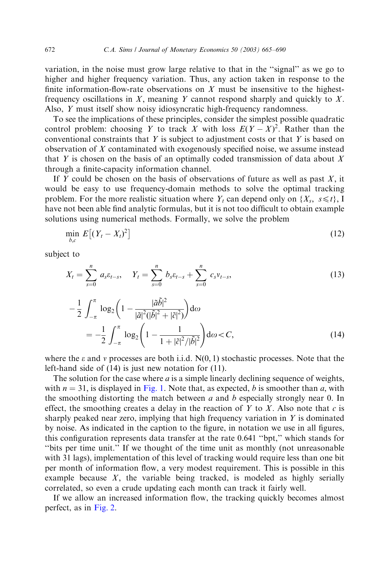variation, in the noise must grow large relative to that in the ''signal'' as we go to higher and higher frequency variation. Thus, any action taken in response to the finite information-flow-rate observations on  $X$  must be insensitive to the highestfrequency oscillations in  $X$ , meaning  $Y$  cannot respond sharply and quickly to  $X$ . Also, Y must itself show noisy idiosyncratic high-frequency randomness.

To see the implications of these principles, consider the simplest possible quadratic control problem: choosing Y to track X with loss  $E(Y - X)^2$ . Rather than the conventional constraints that  $Y$  is subject to adjustment costs or that  $Y$  is based on observation of  $X$  contaminated with exogenously specified noise, we assume instead that Y is chosen on the basis of an optimally coded transmission of data about  $X$ through a finite-capacity information channel.

If Y could be chosen on the basis of observations of future as well as past  $X$ , it would be easy to use frequency-domain methods to solve the optimal tracking problem. For the more realistic situation where  $Y_t$  can depend only on  $\{X_s, s \leq t\}$ , I have not been able find analytic formulas, but it is not too difficult to obtain example solutions using numerical methods. Formally, we solve the problem

$$
\min_{b,c} E\left[ (Y_t - X_t)^2 \right] \tag{12}
$$

subject to

$$
X_t = \sum_{s=0}^n a_s \varepsilon_{t-s}, \quad Y_t = \sum_{s=0}^n b_s \varepsilon_{t-s} + \sum_{s=0}^n c_s v_{t-s}, \tag{13}
$$

$$
-\frac{1}{2} \int_{-\pi}^{\pi} \log_2 \left( 1 - \frac{|\tilde{a}\tilde{b}|^2}{|\tilde{a}|^2 (|\tilde{b}|^2 + |\tilde{c}|^2)} \right) d\omega
$$
  

$$
= -\frac{1}{2} \int_{-\pi}^{\pi} \log_2 \left( 1 - \frac{1}{1 + |\tilde{c}|^2 / |\tilde{b}|^2} \right) d\omega < C,
$$
 (14)

where the  $\varepsilon$  and v processes are both i.i.d.  $N(0, 1)$  stochastic processes. Note that the left-hand side of (14) is just new notation for (11).

The solution for the case where *a* is a simple linearly declining sequence of weights, with  $n = 31$ , is displayed in [Fig. 1](#page-8-0). Note that, as expected, b is smoother than a, with the smoothing distorting the match between  $a$  and  $b$  especially strongly near 0. In effect, the smoothing creates a delay in the reaction of Y to X. Also note that c is sharply peaked near zero, implying that high frequency variation in  $Y$  is dominated by noise. As indicated in the caption to the figure, in notation we use in all figures, this configuration represents data transfer at the rate 0.641 ''bpt,'' which stands for ''bits per time unit.'' If we thought of the time unit as monthly (not unreasonable with 31 lags), implementation of this level of tracking would require less than one bit per month of information flow, a very modest requirement. This is possible in this example because  $X$ , the variable being tracked, is modeled as highly serially correlated, so even a crude updating each month can track it fairly well.

If we allow an increased information flow, the tracking quickly becomes almost perfect, as in [Fig. 2](#page-8-0).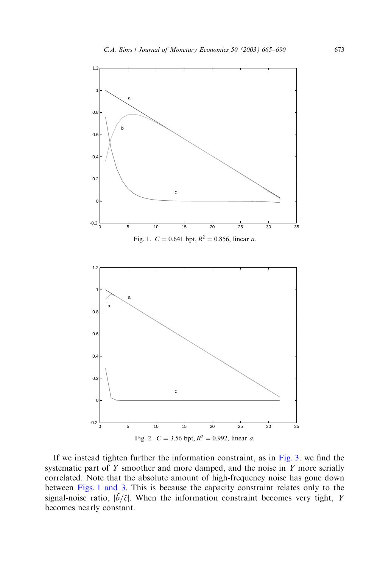<span id="page-8-0"></span>

If we instead tighten further the information constraint, as in [Fig. 3](#page-9-0). we find the systematic part of Y smoother and more damped, and the noise in Y more serially correlated. Note that the absolute amount of high-frequency noise has gone down between Figs. 1 and 3. This is because the capacity constraint relates only to the signal-noise ratio,  $|\tilde{b}/\tilde{c}|$ . When the information constraint becomes very tight, Y becomes nearly constant.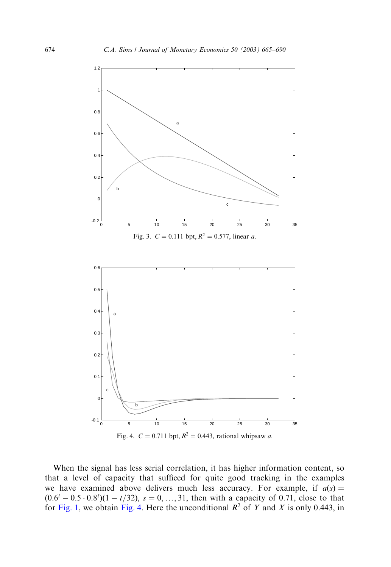<span id="page-9-0"></span>



When the signal has less serial correlation, it has higher information content, so that a level of capacity that sufficed for quite good tracking in the examples we have examined above delivers much less accuracy. For example, if  $a(s)$  =  $(0.6<sup>t</sup> - 0.5 \cdot 0.8<sup>t</sup>)(1 - t/32), s = 0, ..., 31$ , then with a capacity of 0.71, close to that for [Fig. 1,](#page-8-0) we obtain Fig. 4. Here the unconditional  $R^2$  of Y and X is only 0.443, in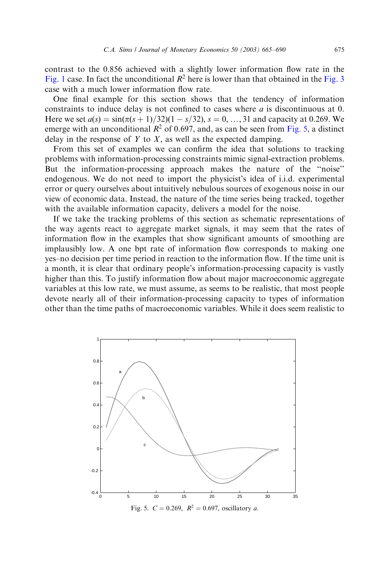contrast to the 0.856 achieved with a slightly lower information flow rate in the [Fig. 1](#page-8-0) case. In fact the unconditional  $R^2$  here is lower than that obtained in the [Fig. 3](#page-9-0) case with a much lower information flow rate.

One final example for this section shows that the tendency of information constraints to induce delay is not confined to cases where a is discontinuous at 0. Here we set  $a(s) = \sin(\pi(s+1)/32)(1-s/32)$ ,  $s = 0, ..., 31$  and capacity at 0.269. We emerge with an unconditional  $R^2$  of 0.697, and, as can be seen from Fig. 5, a distinct delay in the response of  $Y$  to  $X$ , as well as the expected damping.

From this set of examples we can confirm the idea that solutions to tracking problems with information-processing constraints mimic signal-extraction problems. But the information-processing approach makes the nature of the ''noise'' endogenous. We do not need to import the physicist's idea of i.i.d. experimental error or query ourselves about intuitively nebulous sources of exogenous noise in our view of economic data. Instead, the nature of the time series being tracked, together with the available information capacity, delivers a model for the noise.

If we take the tracking problems of this section as schematic representations of the way agents react to aggregate market signals, it may seem that the rates of information flow in the examples that show significant amounts of smoothing are implausibly low. A one bpt rate of information flow corresponds to making one yes–no decision per time period in reaction to the information flow. If the time unit is a month, it is clear that ordinary people's information-processing capacity is vastly higher than this. To justify information flow about major macroeconomic aggregate variables at this low rate, we must assume, as seems to be realistic, that most people devote nearly all of their information-processing capacity to types of information other than the time paths of macroeconomic variables. While it does seem realistic to

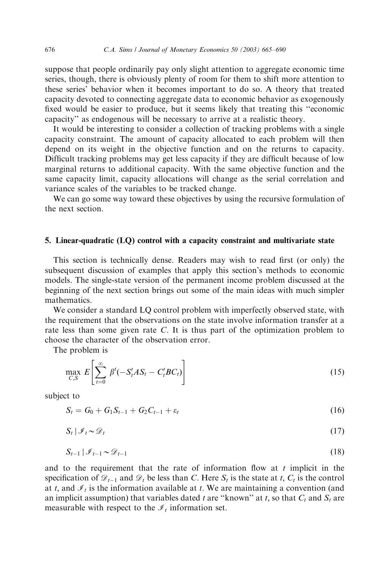suppose that people ordinarily pay only slight attention to aggregate economic time series, though, there is obviously plenty of room for them to shift more attention to these series' behavior when it becomes important to do so. Atheory that treated capacity devoted to connecting aggregate data to economic behavior as exogenously fixed would be easier to produce, but it seems likely that treating this ''economic capacity'' as endogenous will be necessary to arrive at a realistic theory.

It would be interesting to consider a collection of tracking problems with a single capacity constraint. The amount of capacity allocated to each problem will then depend on its weight in the objective function and on the returns to capacity. Difficult tracking problems may get less capacity if they are difficult because of low marginal returns to additional capacity. With the same objective function and the same capacity limit, capacity allocations will change as the serial correlation and variance scales of the variables to be tracked change.

We can go some way toward these objectives by using the recursive formulation of the next section.

### 5. Linear-quadratic (LQ) control with a capacity constraint and multivariate state

This section is technically dense. Readers may wish to read first (or only) the subsequent discussion of examples that apply this section's methods to economic models. The single-state version of the permanent income problem discussed at the beginning of the next section brings out some of the main ideas with much simpler mathematics.

We consider a standard LQ control problem with imperfectly observed state, with the requirement that the observations on the state involve information transfer at a rate less than some given rate  $C$ . It is thus part of the optimization problem to choose the character of the observation error.

The problem is

$$
\max_{C,S} E\left[\sum_{t=0}^{\infty} \beta^t (-S_t^{\prime} A S_t - C_t^{\prime} B C_t)\right]
$$
\n(15)

subject to

$$
S_t = G_0 + G_1 S_{t-1} + G_2 C_{t-1} + \varepsilon_t \tag{16}
$$

$$
S_t | \mathcal{I}_t \sim \mathcal{D}_t \tag{17}
$$

$$
S_{t-1} \mid \mathcal{I}_{t-1} \sim \mathcal{D}_{t-1} \tag{18}
$$

and to the requirement that the rate of information flow at  $t$  implicit in the specification of  $\mathcal{D}_{t-1}$  and  $\mathcal{D}_t$  be less than C. Here  $S_t$  is the state at t,  $C_t$  is the control at t, and  $\mathcal{I}_t$  is the information available at t. We are maintaining a convention (and an implicit assumption) that variables dated t are "known" at t, so that  $C_t$  and  $S_t$  are measurable with respect to the  $\mathcal{I}_t$  information set.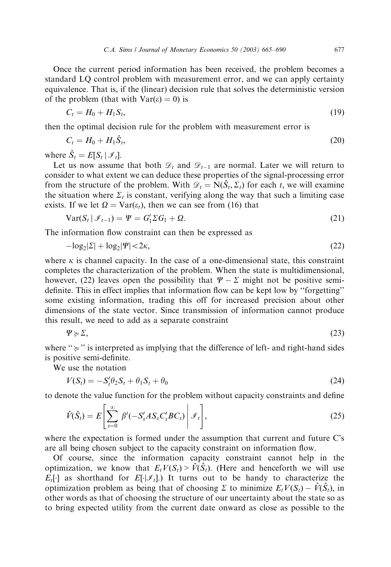Once the current period information has been received, the problem becomes a standard LQ control problem with measurement error, and we can apply certainty equivalence. That is, if the (linear) decision rule that solves the deterministic version of the problem (that with  $Var(\varepsilon) = 0$ ) is

$$
C_t = H_0 + H_1 S_t, \t\t(19)
$$

then the optimal decision rule for the problem with measurement error is

$$
C_t = H_0 + H_1 \hat{S}_t,\tag{20}
$$

where  $\hat{S}_t = E[S_t | \mathcal{I}_t].$ 

Let us now assume that both  $\mathcal{D}_t$  and  $\mathcal{D}_{t-1}$  are normal. Later we will return to consider to what extent we can deduce these properties of the signal-processing error from the structure of the problem. With  $\mathcal{D}_t = \dot{N}(\hat{S}_t, \Sigma_t)$  for each t, we will examine the situation where  $\Sigma_t$  is constant, verifying along the way that such a limiting case exists. If we let  $\Omega = \text{Var}(\varepsilon_t)$ , then we can see from (16) that

$$
Var(S_t | \mathcal{I}_{t-1}) = \Psi = G'_1 \Sigma G_1 + \Omega.
$$
 (21)

The information flow constraint can then be expressed as

$$
-\log_2|\Sigma| + \log_2|\Psi| < 2\kappa,\tag{22}
$$

where  $\kappa$  is channel capacity. In the case of a one-dimensional state, this constraint completes the characterization of the problem. When the state is multidimensional, however, (22) leaves open the possibility that  $\Psi - \Sigma$  might not be positive semidefinite. This in effect implies that information flow can be kept low by ''forgetting'' some existing information, trading this off for increased precision about other dimensions of the state vector. Since transmission of information cannot produce this result, we need to add as a separate constraint

$$
\Psi \succcurlyeq \Sigma,\tag{23}
$$

where " $\succcurlyeq$ " is interpreted as implying that the difference of left- and right-hand sides is positive semi-definite.

We use the notation

$$
V(S_t) = -S_t' \theta_2 S_t + \theta_1 S_t + \theta_0 \tag{24}
$$

to denote the value function for the problem without capacity constraints and define

$$
\hat{V}(\hat{S}_t) = E\left[\sum_{s=0}^{\infty} \beta^t (-S'_s AS_s C'_s BC_s) \middle| \mathcal{I}_t\right],
$$
\n(25)

where the expectation is formed under the assumption that current and future C's are all being chosen subject to the capacity constraint on information flow.

Of course, since the information capacity constraint cannot help in the optimization, we know that  $E_t V(S_t) > \hat{V(S_t)}$ . (Here and henceforth we will use  $E_t[\cdot]$  as shorthand for  $E[\cdot|\mathcal{I}_t]$ . It turns out to be handy to characterize the optimization problem as being that of choosing  $\Sigma$  to minimize  $E_t V(S_t) - \hat{V}(\hat{S}_t)$ , in other words as that of choosing the structure of our uncertainty about the state so as to bring expected utility from the current date onward as close as possible to the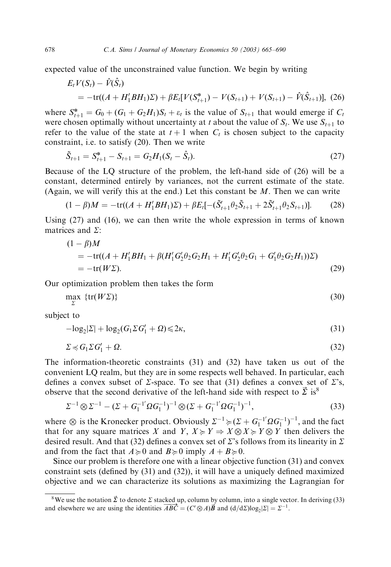expected value of the unconstrained value function. We begin by writing

$$
E_t V(S_t) - \hat{V}(\hat{S}_t)
$$
  
=  $-\text{tr}((A + H'_1 B H_1) \Sigma) + \beta E_t [V(S_{t+1}^*) - V(S_{t+1}) + V(S_{t+1}) - \hat{V}(\hat{S}_{t+1})],$  (26)

where  $S_{t+1}^* = G_0 + (G_1 + G_2H_1)S_t + \varepsilon_t$  is the value of  $S_{t+1}$  that would emerge if  $C_t$ were chosen optimally without uncertainty at t about the value of  $S_t$ . We use  $S_{t+1}$  to refer to the value of the state at  $t + 1$  when  $C_t$  is chosen subject to the capacity constraint, i.e. to satisfy (20). Then we write

$$
\tilde{S}_{t+1} = S_{t+1}^* - S_{t+1} = G_2 H_1 (S_t - \hat{S}_t). \tag{27}
$$

Because of the LQ structure of the problem, the left-hand side of (26) will be a constant, determined entirely by variances, not the current estimate of the state. (Again, we will verify this at the end.) Let this constant be  $M$ . Then we can write

$$
(1 - \beta)M = -\text{tr}((A + H_1'BH_1)\Sigma) + \beta E_t[-(\tilde{S}_{t+1}'\theta_2\tilde{S}_{t+1} + 2\tilde{S}_{t+1}'\theta_2S_{t+1})].
$$
 (28)

Using (27) and (16), we can then write the whole expression in terms of known matrices and  $\Sigma$ :

$$
(1 - \beta)M
$$
  
=  $-tr((A + H'_1BH_1 + \beta(H'_1G'_2\theta_2G_2H_1 + H'_1G'_2\theta_2G_1 + G'_1\theta_2G_2H_1))\Sigma)$   
=  $-tr(W\Sigma).$  (29)

Our optimization problem then takes the form

$$
\max_{\Sigma} \ \{ \text{tr}(W\Sigma) \} \tag{30}
$$

subject to

$$
-\log_2|\Sigma| + \log_2(G_1\Sigma G_1' + \Omega) \le 2\kappa,\tag{31}
$$

$$
\Sigma \preccurlyeq G_1 \Sigma G_1' + \Omega. \tag{32}
$$

The information-theoretic constraints (31) and (32) have taken us out of the convenient LQ realm, but they are in some respects well behaved. In particular, each defines a convex subset of  $\Sigma$ -space. To see that (31) defines a convex set of  $\Sigma$ 's, observe that the second derivative of the left-hand side with respect to  $\vec{\Sigma}$  is<sup>8</sup>

$$
\Sigma^{-1} \otimes \Sigma^{-1} - (\Sigma + G_1^{-1} \Omega G_1^{-1})^{-1} \otimes (\Sigma + G_1^{-1} \Omega G_1^{-1})^{-1}, \tag{33}
$$

where  $\otimes$  is the Kronecker product. Obviously  $\Sigma^{-1} \succcurlyeq (\Sigma + G_1^{-1} \Omega G_1^{-1})^{-1}$ , and the fact that for any square matrices X and Y,  $X \ge Y \Rightarrow X \otimes X \ge Y \otimes Y$  then delivers the desired result. And that (32) defines a convex set of  $\Sigma$ 's follows from its linearity in  $\Sigma$ and from the fact that  $A \ge 0$  and  $B \ge 0$  imply  $A + B \ge 0$ .

Since our problem is therefore one with a linear objective function (31) and convex constraint sets (defined by (31) and (32)), it will have a uniquely defined maximized objective and we can characterize its solutions as maximizing the Lagrangian for

<sup>&</sup>lt;sup>8</sup>We use the notation  $\vec{\Sigma}$  to denote  $\Sigma$  stacked up, column by column, into a single vector. In deriving (33) and elsewhere we are using the identities  $\overrightarrow{ABC} = (C' \otimes A) \vec{B}$  and  $(d/d\Sigma) \log_2 |\Sigma| = \Sigma^{-1}$ .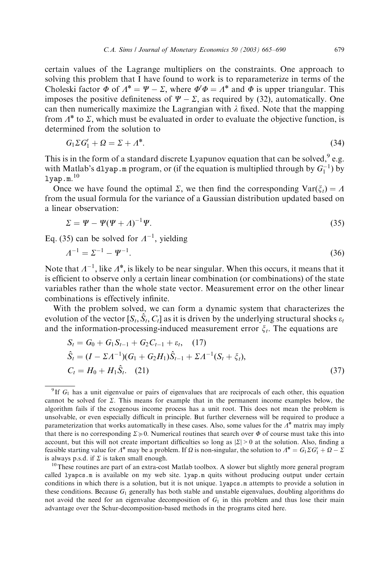certain values of the Lagrange multipliers on the constraints. One approach to solving this problem that I have found to work is to reparameterize in terms of the Choleski factor  $\Phi$  of  $\Lambda^* = \Psi - \Sigma$ , where  $\Phi' \Phi = \Lambda^*$  and  $\Phi$  is upper triangular. This imposes the positive definiteness of  $\Psi - \Sigma$ , as required by (32), automatically. One can then numerically maximize the Lagrangian with  $\lambda$  fixed. Note that the mapping from  $\Lambda^*$  to  $\Sigma$ , which must be evaluated in order to evaluate the objective function, is determined from the solution to

$$
G_1 \Sigma G_1' + \Omega = \Sigma + \Lambda^*.
$$
\n(34)

This is in the form of a standard discrete Lyapunov equation that can be solved,  $9e.g.$ with Matlab's dlyap.m program, or (if the equation is multiplied through by  $G_1^{-1}$ ) by lyap.m. 10

Once we have found the optimal  $\Sigma$ , we then find the corresponding  $\text{Var}(\xi_i) = A$ from the usual formula for the variance of a Gaussian distribution updated based on a linear observation:

$$
\Sigma = \Psi - \Psi(\Psi + \Lambda)^{-1}\Psi. \tag{35}
$$

Eq. (35) can be solved for  $\Lambda^{-1}$ , yielding

$$
A^{-1} = \Sigma^{-1} - \Psi^{-1}.
$$
\n(36)

Note that  $\Lambda^{-1}$ , like  $\Lambda^*$ , is likely to be near singular. When this occurs, it means that it is efficient to observe only a certain linear combination (or combinations) of the state variables rather than the whole state vector. Measurement error on the other linear combinations is effectively infinite.

With the problem solved, we can form a dynamic system that characterizes the evolution of the vector  $[S_t, \hat{S}_t, C_t]$  as it is driven by the underlying structural shocks  $\varepsilon_t$ and the information-processing-induced measurement error  $\xi_i$ . The equations are

$$
S_t = G_0 + G_1 S_{t-1} + G_2 C_{t-1} + \varepsilon_t, \quad (17)
$$
  
\n
$$
\hat{S}_t = (I - \Sigma A^{-1})(G_1 + G_2 H_1)\hat{S}_{t-1} + \Sigma A^{-1}(S_t + \xi_t),
$$
  
\n
$$
C_t = H_0 + H_1 \hat{S}_t. \quad (21)
$$
\n(37)

<sup>&</sup>lt;sup>9</sup> If  $G_1$  has a unit eigenvalue or pairs of eigenvalues that are reciprocals of each other, this equation cannot be solved for  $\Sigma$ . This means for example that in the permanent income examples below, the algorithm fails if the exogenous income process has a unit root. This does not mean the problem is unsolvable, or even especially difficult in principle. But further cleverness will be required to produce a parameterization that works automatically in these cases. Also, some values for the  $\Lambda^*$  matrix may imply that there is no corresponding  $\Sigma \geq 0$ . Numerical routines that search over  $\Phi$  of course must take this into account, but this will not create important difficulties so long as  $|\Sigma| > 0$  at the solution. Also, finding a feasible starting value for  $\Lambda^*$  may be a problem. If  $\Omega$  is non-singular, the solution to  $\Lambda^* = G_1 \Sigma G_1' + \Omega - \Sigma$ is always p.s.d. if  $\Sigma$  is taken small enough.<br><sup>10</sup>These routines are part of an extra-cost Matlab toolbox. A slower but slightly more general program

called lyapcs.m is available on my web site. lyap.m quits without producing output under certain conditions in which there is a solution, but it is not unique. lyapcs.m attempts to provide a solution in these conditions. Because  $G_1$  generally has both stable and unstable eigenvalues, doubling algorithms do not avoid the need for an eigenvalue decomposition of  $G<sub>1</sub>$  in this problem and thus lose their main advantage over the Schur-decomposition-based methods in the programs cited here.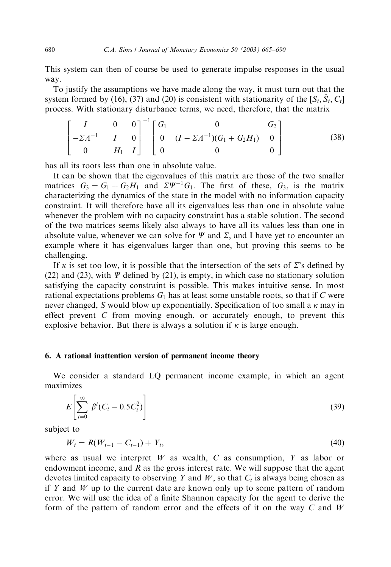This system can then of course be used to generate impulse responses in the usual way.

To justify the assumptions we have made along the way, it must turn out that the system formed by (16), (37) and (20) is consistent with stationarity of the  $[S_t, \hat{S}_t, C_t]$ process. With stationary disturbance terms, we need, therefore, that the matrix

$$
\begin{bmatrix} I & 0 & 0 \ -\Sigma A^{-1} & I & 0 \ 0 & -H_1 & I \end{bmatrix}^{-1} \begin{bmatrix} G_1 & 0 & G_2 \ 0 & (I - \Sigma A^{-1})(G_1 + G_2 H_1) & 0 \ 0 & 0 & 0 \end{bmatrix}
$$
(38)

has all its roots less than one in absolute value.

It can be shown that the eigenvalues of this matrix are those of the two smaller matrices  $G_3 = G_1 + G_2 H_1$  and  $\Sigma \Psi^{-1} G_1$ . The first of these,  $G_3$ , is the matrix characterizing the dynamics of the state in the model with no information capacity constraint. It will therefore have all its eigenvalues less than one in absolute value whenever the problem with no capacity constraint has a stable solution. The second of the two matrices seems likely also always to have all its values less than one in absolute value, whenever we can solve for  $\Psi$  and  $\Sigma$ , and I have yet to encounter an example where it has eigenvalues larger than one, but proving this seems to be challenging.

If  $\kappa$  is set too low, it is possible that the intersection of the sets of  $\Sigma$ 's defined by (22) and (23), with  $\Psi$  defined by (21), is empty, in which case no stationary solution satisfying the capacity constraint is possible. This makes intuitive sense. In most rational expectations problems  $G_1$  has at least some unstable roots, so that if C were never changed, S would blow up exponentially. Specification of too small a  $\kappa$  may in effect prevent C from moving enough, or accurately enough, to prevent this explosive behavior. But there is always a solution if  $\kappa$  is large enough.

## 6. A rational inattention version of permanent income theory

We consider a standard LQ permanent income example, in which an agent maximizes

$$
E\left[\sum_{t=0}^{\infty} \beta^t (C_t - 0.5C_t^2)\right]
$$
\n(39)

subject to

$$
W_t = R(W_{t-1} - C_{t-1}) + Y_t, \tag{40}
$$

where as usual we interpret  $W$  as wealth,  $C$  as consumption,  $Y$  as labor or endowment income, and  $R$  as the gross interest rate. We will suppose that the agent devotes limited capacity to observing Y and W, so that  $C_t$  is always being chosen as if Y and W up to the current date are known only up to some pattern of random error. We will use the idea of a finite Shannon capacity for the agent to derive the form of the pattern of random error and the effects of it on the way  $C$  and  $W$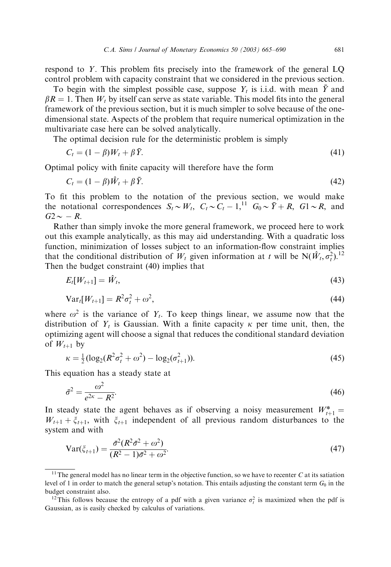respond to Y: This problem fits precisely into the framework of the general LQ control problem with capacity constraint that we considered in the previous section.

To begin with the simplest possible case, suppose  $Y_t$  is i.i.d. with mean  $\bar{Y}$  and  $\beta R = 1$ . Then  $W_t$  by itself can serve as state variable. This model fits into the general framework of the previous section, but it is much simpler to solve because of the onedimensional state. Aspects of the problem that require numerical optimization in the multivariate case here can be solved analytically.

The optimal decision rule for the deterministic problem is simply

$$
C_t = (1 - \beta)W_t + \beta \bar{Y}.
$$
\n<sup>(41)</sup>

Optimal policy with finite capacity will therefore have the form

$$
C_t = (1 - \beta)\hat{W}_t + \beta \bar{Y}.\tag{42}
$$

To fit this problem to the notation of the previous section, we would make the notational correspondences  $S_t \sim W_t$ ,  $C_t \sim C_t - 1$ ,  $11$   $G_0 \sim \overline{Y} + R$ ,  $G_1 \sim R$ , and  $G2 \sim -R$ .

Rather than simply invoke the more general framework, we proceed here to work out this example analytically, as this may aid understanding. With a quadratic loss function, minimization of losses subject to an information-flow constraint implies that the conditional distribution of  $W_t$  given information at t will be  $N(\hat{W}_t, \hat{\sigma}_t^2)$ .<sup>12</sup> Then the budget constraint (40) implies that

$$
E_t[W_{t+1}] = \hat{W}_t, \tag{43}
$$

$$
Vart[Wt+1] = R2 \sigmat2 + \omega2,
$$
\n(44)

where  $\omega^2$  is the variance of  $Y_t$ . To keep things linear, we assume now that the distribution of  $Y_t$  is Gaussian. With a finite capacity  $\kappa$  per time unit, then, the optimizing agent will choose a signal that reduces the conditional standard deviation of  $W_{t+1}$  by

$$
\kappa = \frac{1}{2} (\log_2(R^2 \sigma_t^2 + \omega^2) - \log_2(\sigma_{t+1}^2)).
$$
\n(45)

This equation has a steady state at

$$
\bar{\sigma}^2 = \frac{\omega^2}{e^{2\kappa} - R^2}.\tag{46}
$$

In steady state the agent behaves as if observing a noisy measurement  $W_{t+1}^* =$  $W_{t+1} + \xi_{t+1}$ , with  $\xi_{t+1}$  independent of all previous random disturbances to the system and with

$$
Var(\xi_{t+1}) = \frac{\bar{\sigma}^2 (R^2 \bar{\sigma}^2 + \omega^2)}{(R^2 - 1)\bar{\sigma}^2 + \omega^2}.
$$
\n(47)

<sup>&</sup>lt;sup>11</sup> The general model has no linear term in the objective function, so we have to recenter C at its satiation level of 1 in order to match the general setup's notation. This entails adjusting the constant term  $G_0$  in the

budget constraint also.<br><sup>12</sup>This follows because the entropy of a pdf with a given variance  $\sigma_i^2$  is maximized when the pdf is Gaussian, as is easily checked by calculus of variations.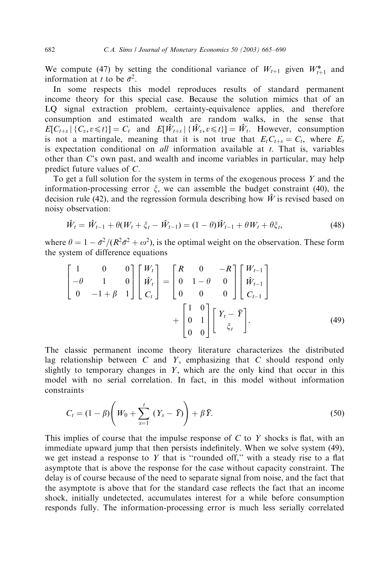We compute (47) by setting the conditional variance of  $W_{t+1}$  given  $W_{t+1}^*$  and information at t to be  $\bar{\sigma}^2$ .

In some respects this model reproduces results of standard permanent income theory for this special case. Because the solution mimics that of an LQ signal extraction problem, certainty-equivalence applies, and therefore consumption and estimated wealth are random walks, in the sense that  $E[C_{t+s} | \{C_v, v \leq t\}] = C_t$  and  $E[\hat{W}_{t+s} | \{\hat{W}_v, v \leq t\}] = \hat{W}_t$ . However, consumption is not a martingale, meaning that it is not true that  $E_t C_{t+s} = C_t$ , where  $E_t$ is expectation conditional on *all* information available at  $t$ . That is, variables other than C's own past, and wealth and income variables in particular, may help predict future values of C:

To get a full solution for the system in terms of the exogenous process Y and the information-processing error  $\xi$ , we can assemble the budget constraint (40), the decision rule (42), and the regression formula describing how  $\hat{W}$  is revised based on noisy observation:

$$
\hat{W}_t = \hat{W}_{t-1} + \theta (W_t + \xi_t - \hat{W}_{t-1}) = (1 - \theta)\hat{W}_{t-1} + \theta W_t + \theta \xi_t, \tag{48}
$$

where  $\theta = 1 - \bar{\sigma}^2 / (R^2 \bar{\sigma}^2 + \omega^2)$ , is the optimal weight on the observation. These form the system of difference equations

$$
\begin{bmatrix} 1 & 0 & 0 \ -\theta & 1 & 0 \ 0 & -1 + \beta & 1 \end{bmatrix} \begin{bmatrix} W_t \\ \hat{W}_t \\ C_t \end{bmatrix} = \begin{bmatrix} R & 0 & -R \\ 0 & 1 - \theta & 0 \\ 0 & 0 & 0 \end{bmatrix} \begin{bmatrix} W_{t-1} \\ \hat{W}_{t-1} \\ C_{t-1} \end{bmatrix} + \begin{bmatrix} 1 & 0 \\ 0 & 1 \\ 0 & 0 \end{bmatrix} \begin{bmatrix} Y_t - \bar{Y} \\ \zeta_t \end{bmatrix}.
$$
 (49)

The classic permanent income theory literature characterizes the distributed lag relationship between  $C$  and  $Y$ , emphasizing that  $C$  should respond only slightly to temporary changes in  $Y$ , which are the only kind that occur in this model with no serial correlation. In fact, in this model without information constraints

$$
C_t = (1 - \beta) \left( W_0 + \sum_{s=1}^t (Y_s - \bar{Y}) \right) + \beta \bar{Y}.
$$
 (50)

This implies of course that the impulse response of  $C$  to  $Y$  shocks is flat, with an immediate upward jump that then persists indefinitely. When we solve system (49), we get instead a response to  $Y$  that is "rounded off," with a steady rise to a flat asymptote that is above the response for the case without capacity constraint. The delay is of course because of the need to separate signal from noise, and the fact that the asymptote is above that for the standard case reflects the fact that an income shock, initially undetected, accumulates interest for a while before consumption responds fully. The information-processing error is much less serially correlated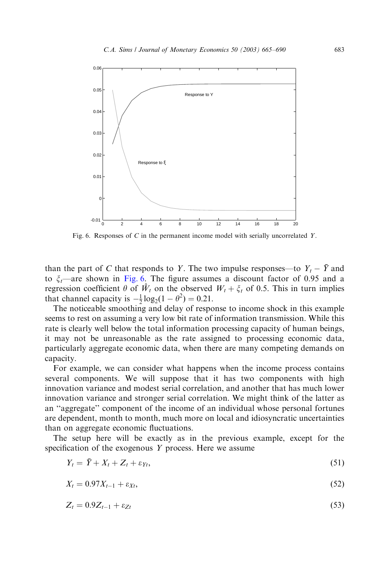<span id="page-18-0"></span>

Fig. 6. Responses of  $C$  in the permanent income model with serially uncorrelated  $Y$ .

than the part of C that responds to Y. The two impulse responses—to  $Y_t - \bar{Y}$  and to  $\xi_t$ —are shown in Fig. 6. The figure assumes a discount factor of 0.95 and a regression coefficient  $\theta$  of  $\hat{W}_t$  on the observed  $W_t + \xi_t$  of 0.5. This in turn implies that channel capacity is  $-\frac{1}{2} \log_2(1 - \theta^2) = 0.21$ .

The noticeable smoothing and delay of response to income shock in this example seems to rest on assuming a very low bit rate of information transmission. While this rate is clearly well below the total information processing capacity of human beings, it may not be unreasonable as the rate assigned to processing economic data, particularly aggregate economic data, when there are many competing demands on capacity.

For example, we can consider what happens when the income process contains several components. We will suppose that it has two components with high innovation variance and modest serial correlation, and another that has much lower innovation variance and stronger serial correlation. We might think of the latter as an ''aggregate'' component of the income of an individual whose personal fortunes are dependent, month to month, much more on local and idiosyncratic uncertainties than on aggregate economic fluctuations.

The setup here will be exactly as in the previous example, except for the specification of the exogenous  $Y$  process. Here we assume

$$
Y_t = \bar{Y} + X_t + Z_t + \varepsilon_{Yt},\tag{51}
$$

$$
X_t = 0.97X_{t-1} + \varepsilon_{Xt},\tag{52}
$$

$$
Z_t = 0.9Z_{t-1} + \varepsilon_{Zt} \tag{53}
$$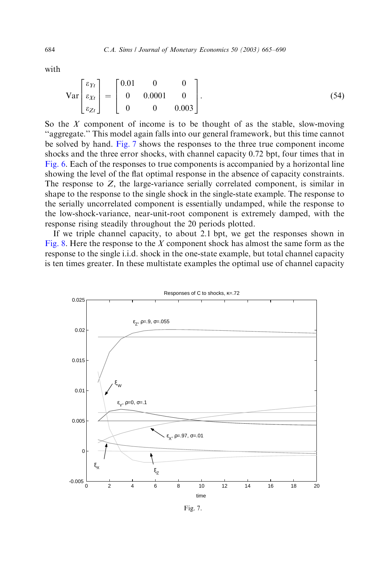with

$$
\operatorname{Var}\begin{bmatrix} \varepsilon_{Yt} \\ \varepsilon_{Xt} \\ \varepsilon_{Zt} \end{bmatrix} = \begin{bmatrix} 0.01 & 0 & 0 \\ 0 & 0.0001 & 0 \\ 0 & 0 & 0.003 \end{bmatrix}.
$$
 (54)

So the X component of income is to be thought of as the stable, slow-moving "aggregate." This model again falls into our general framework, but this time cannot be solved by hand. Fig. 7 shows the responses to the three true component income shocks and the three error shocks, with channel capacity 0:72 bpt; four times that in [Fig. 6](#page-18-0). Each of the responses to true components is accompanied by a horizontal line showing the level of the flat optimal response in the absence of capacity constraints. The response to  $Z$ , the large-variance serially correlated component, is similar in shape to the response to the single shock in the single-state example. The response to the serially uncorrelated component is essentially undamped, while the response to the low-shock-variance, near-unit-root component is extremely damped, with the response rising steadily throughout the 20 periods plotted.

If we triple channel capacity, to about 2.1 bpt, we get the responses shown in [Fig. 8](#page-20-0). Here the response to the  $X$  component shock has almost the same form as the response to the single i.i.d. shock in the one-state example, but total channel capacity is ten times greater. In these multistate examples the optimal use of channel capacity



Fig. 7.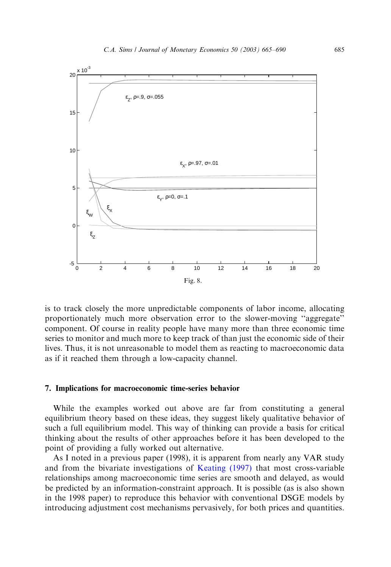<span id="page-20-0"></span>

is to track closely the more unpredictable components of labor income, allocating proportionately much more observation error to the slower-moving ''aggregate'' component. Of course in reality people have many more than three economic time series to monitor and much more to keep track of than just the economic side of their lives. Thus, it is not unreasonable to model them as reacting to macroeconomic data as if it reached them through a low-capacity channel.

### 7. Implications for macroeconomic time-series behavior

While the examples worked out above are far from constituting a general equilibrium theory based on these ideas, they suggest likely qualitative behavior of such a full equilibrium model. This way of thinking can provide a basis for critical thinking about the results of other approaches before it has been developed to the point of providing a fully worked out alternative.

As I noted in a previous paper (1998), it is apparent from nearly any VAR study and from the bivariate investigations of [Keating \(1997\)](#page-24-0) that most cross-variable relationships among macroeconomic time series are smooth and delayed, as would be predicted by an information-constraint approach. It is possible (as is also shown in the 1998 paper) to reproduce this behavior with conventional DSGE models by introducing adjustment cost mechanisms pervasively, for both prices and quantities.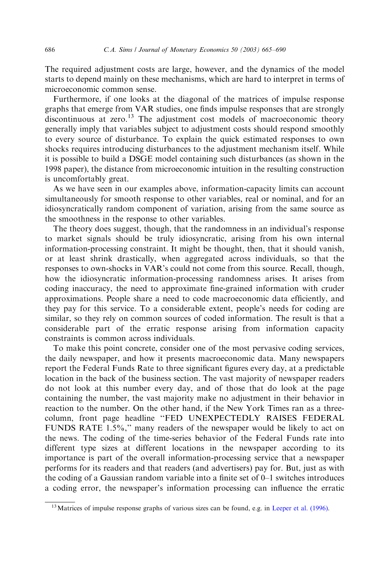The required adjustment costs are large, however, and the dynamics of the model starts to depend mainly on these mechanisms, which are hard to interpret in terms of microeconomic common sense.

Furthermore, if one looks at the diagonal of the matrices of impulse response graphs that emerge from VAR studies, one finds impulse responses that are strongly discontinuous at zero.<sup>13</sup> The adjustment cost models of macroeconomic theory generally imply that variables subject to adjustment costs should respond smoothly to every source of disturbance. To explain the quick estimated responses to own shocks requires introducing disturbances to the adjustment mechanism itself. While it is possible to build a DSGE model containing such disturbances (as shown in the 1998 paper), the distance from microeconomic intuition in the resulting construction is uncomfortably great.

As we have seen in our examples above, information-capacity limits can account simultaneously for smooth response to other variables, real or nominal, and for an idiosyncratically random component of variation, arising from the same source as the smoothness in the response to other variables.

The theory does suggest, though, that the randomness in an individual's response to market signals should be truly idiosyncratic, arising from his own internal information-processing constraint. It might be thought, then, that it should vanish, or at least shrink drastically, when aggregated across individuals, so that the responses to own-shocks in VAR's could not come from this source. Recall, though, how the idiosyncratic information-processing randomness arises. It arises from coding inaccuracy, the need to approximate fine-grained information with cruder approximations. People share a need to code macroeconomic data efficiently, and they pay for this service. To a considerable extent, people's needs for coding are similar, so they rely on common sources of coded information. The result is that a considerable part of the erratic response arising from information capacity constraints is common across individuals.

To make this point concrete, consider one of the most pervasive coding services, the daily newspaper, and how it presents macroeconomic data. Many newspapers report the Federal Funds Rate to three significant figures every day, at a predictable location in the back of the business section. The vast majority of newspaper readers do not look at this number every day, and of those that do look at the page containing the number, the vast majority make no adjustment in their behavior in reaction to the number. On the other hand, if the New York Times ran as a threecolumn, front page headline ''FED UNEXPECTEDLY RAISES FEDERAL FUNDS RATE 1.5%,'' many readers of the newspaper would be likely to act on the news. The coding of the time-series behavior of the Federal Funds rate into different type sizes at different locations in the newspaper according to its importance is part of the overall information-processing service that a newspaper performs for its readers and that readers (and advertisers) pay for. But, just as with the coding of a Gaussian random variable into a finite set of 0–1 switches introduces a coding error, the newspaper's information processing can influence the erratic

<sup>&</sup>lt;sup>13</sup> Matrices of impulse response graphs of various sizes can be found, e.g. in [Leeper et al. \(1996\).](#page-25-0)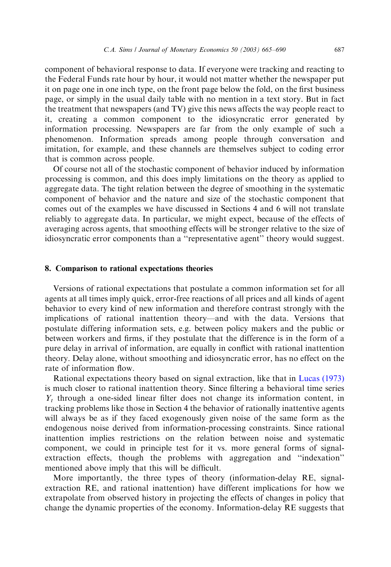component of behavioral response to data. If everyone were tracking and reacting to the Federal Funds rate hour by hour, it would not matter whether the newspaper put it on page one in one inch type, on the front page below the fold, on the first business page, or simply in the usual daily table with no mention in a text story. But in fact the treatment that newspapers (and TV) give this news affects the way people react to it, creating a common component to the idiosyncratic error generated by information processing. Newspapers are far from the only example of such a phenomenon. Information spreads among people through conversation and imitation, for example, and these channels are themselves subject to coding error that is common across people.

Of course not all of the stochastic component of behavior induced by information processing is common, and this does imply limitations on the theory as applied to aggregate data. The tight relation between the degree of smoothing in the systematic component of behavior and the nature and size of the stochastic component that comes out of the examples we have discussed in Sections 4 and 6 will not translate reliably to aggregate data. In particular, we might expect, because of the effects of averaging across agents, that smoothing effects will be stronger relative to the size of idiosyncratic error components than a ''representative agent'' theory would suggest.

# 8. Comparison to rational expectations theories

Versions of rational expectations that postulate a common information set for all agents at all times imply quick, error-free reactions of all prices and all kinds of agent behavior to every kind of new information and therefore contrast strongly with the implications of rational inattention theory—and with the data. Versions that postulate differing information sets, e.g. between policy makers and the public or between workers and firms, if they postulate that the difference is in the form of a pure delay in arrival of information, are equally in conflict with rational inattention theory. Delay alone, without smoothing and idiosyncratic error, has no effect on the rate of information flow.

Rational expectations theory based on signal extraction, like that in [Lucas \(1973\)](#page-25-0) is much closer to rational inattention theory. Since filtering a behavioral time series  $Y_t$  through a one-sided linear filter does not change its information content, in tracking problems like those in Section 4 the behavior of rationally inattentive agents will always be as if they faced exogenously given noise of the same form as the endogenous noise derived from information-processing constraints. Since rational inattention implies restrictions on the relation between noise and systematic component, we could in principle test for it vs. more general forms of signalextraction effects, though the problems with aggregation and ''indexation'' mentioned above imply that this will be difficult.

More importantly, the three types of theory (information-delay RE, signalextraction RE, and rational inattention) have different implications for how we extrapolate from observed history in projecting the effects of changes in policy that change the dynamic properties of the economy. Information-delay RE suggests that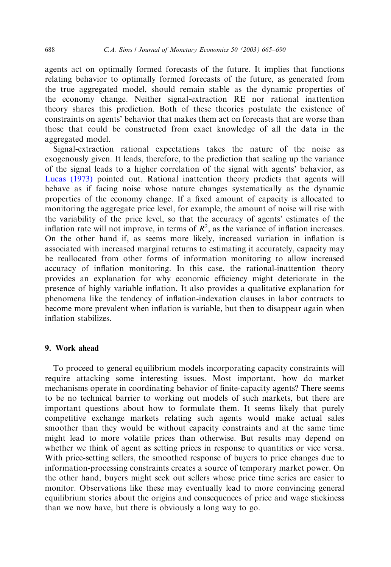agents act on optimally formed forecasts of the future. It implies that functions relating behavior to optimally formed forecasts of the future, as generated from the true aggregated model, should remain stable as the dynamic properties of the economy change. Neither signal-extraction RE nor rational inattention theory shares this prediction. Both of these theories postulate the existence of constraints on agents' behavior that makes them act on forecasts that are worse than those that could be constructed from exact knowledge of all the data in the aggregated model.

Signal-extraction rational expectations takes the nature of the noise as exogenously given. It leads, therefore, to the prediction that scaling up the variance of the signal leads to a higher correlation of the signal with agents' behavior, as [Lucas \(1973\)](#page-25-0) pointed out. Rational inattention theory predicts that agents will behave as if facing noise whose nature changes systematically as the dynamic properties of the economy change. If a fixed amount of capacity is allocated to monitoring the aggregate price level, for example, the amount of noise will rise with the variability of the price level, so that the accuracy of agents' estimates of the inflation rate will not improve, in terms of  $R^2$ , as the variance of inflation increases. On the other hand if, as seems more likely, increased variation in inflation is associated with increased marginal returns to estimating it accurately, capacity may be reallocated from other forms of information monitoring to allow increased accuracy of inflation monitoring. In this case, the rational-inattention theory provides an explanation for why economic efficiency might deteriorate in the presence of highly variable inflation. It also provides a qualitative explanation for phenomena like the tendency of inflation-indexation clauses in labor contracts to become more prevalent when inflation is variable, but then to disappear again when inflation stabilizes.

# 9. Work ahead

To proceed to general equilibrium models incorporating capacity constraints will require attacking some interesting issues. Most important, how do market mechanisms operate in coordinating behavior of finite-capacity agents? There seems to be no technical barrier to working out models of such markets, but there are important questions about how to formulate them. It seems likely that purely competitive exchange markets relating such agents would make actual sales smoother than they would be without capacity constraints and at the same time might lead to more volatile prices than otherwise. But results may depend on whether we think of agent as setting prices in response to quantities or vice versa. With price-setting sellers, the smoothed response of buyers to price changes due to information-processing constraints creates a source of temporary market power. On the other hand, buyers might seek out sellers whose price time series are easier to monitor. Observations like these may eventually lead to more convincing general equilibrium stories about the origins and consequences of price and wage stickiness than we now have, but there is obviously a long way to go.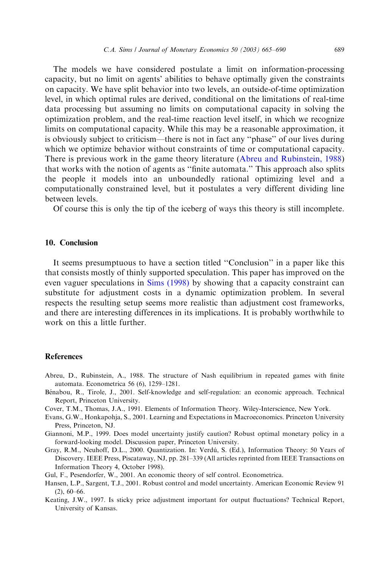<span id="page-24-0"></span>The models we have considered postulate a limit on information-processing capacity, but no limit on agents' abilities to behave optimally given the constraints on capacity. We have split behavior into two levels, an outside-of-time optimization level, in which optimal rules are derived, conditional on the limitations of real-time data processing but assuming no limits on computational capacity in solving the optimization problem, and the real-time reaction level itself, in which we recognize limits on computational capacity. While this may be a reasonable approximation, it is obviously subject to criticism—there is not in fact any ''phase'' of our lives during which we optimize behavior without constraints of time or computational capacity. There is previous work in the game theory literature (Abreu and Rubinstein, 1988) that works with the notion of agents as ''finite automata.'' This approach also splits the people it models into an unboundedly rational optimizing level and a computationally constrained level, but it postulates a very different dividing line between levels.

Of course this is only the tip of the iceberg of ways this theory is still incomplete.

# 10. Conclusion

It seems presumptuous to have a section titled ''Conclusion'' in a paper like this that consists mostly of thinly supported speculation. This paper has improved on the even vaguer speculations in [Sims \(1998\)](#page-25-0) by showing that a capacity constraint can substitute for adjustment costs in a dynamic optimization problem. In several respects the resulting setup seems more realistic than adjustment cost frameworks, and there are interesting differences in its implications. It is probably worthwhile to work on this a little further.

#### References

- Abreu, D., Rubinstein, A., 1988. The structure of Nash equilibrium in repeated games with finite automata. Econometrica 56 (6), 1259–1281.
- Benabou, R., Tirole, J., 2001. Self-knowledge and self-regulation: an economic approach. Technical ! Report, Princeton University.
- Cover, T.M., Thomas, J.A., 1991. Elements of Information Theory. Wiley-Interscience, New York.
- Evans, G.W., Honkapohja, S., 2001. Learning and Expectations in Macroeconomics. Princeton University Press, Princeton, NJ.
- Giannoni, M.P., 1999. Does model uncertainty justify caution? Robust optimal monetary policy in a forward-looking model. Discussion paper, Princeton University.
- Gray, R.M., Neuhoff, D.L., 2000. Quantization. In: Verdú, S. (Ed.), Information Theory: 50 Years of Discovery. IEEE Press, Piscataway, NJ, pp. 281–339 (All articles reprinted from IEEE Transactions on Information Theory 4, October 1998).
- Gul, F., Pesendorfer, W., 2001. An economic theory of self control. Econometrica.
- Hansen, L.P., Sargent, T.J., 2001. Robust control and model uncertainty. American Economic Review 91 (2), 60–66.
- Keating, J.W., 1997. Is sticky price adjustment important for output fluctuations? Technical Report, University of Kansas.